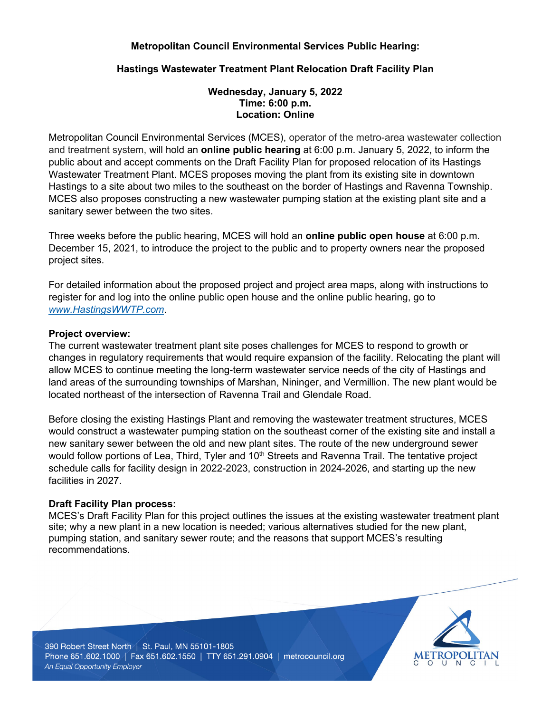## **Metropolitan Council Environmental Services Public Hearing:**

## **Hastings Wastewater Treatment Plant Relocation Draft Facility Plan**

**Wednesday, January 5, 2022 Time: 6:00 p.m. Location: Online**

Metropolitan Council Environmental Services (MCES), operator of the metro-area wastewater collection and treatment system, will hold an **online public hearing** at 6:00 p.m. January 5, 2022, to inform the public about and accept comments on the Draft Facility Plan for proposed relocation of its Hastings Wastewater Treatment Plant. MCES proposes moving the plant from its existing site in downtown Hastings to a site about two miles to the southeast on the border of Hastings and Ravenna Township. MCES also proposes constructing a new wastewater pumping station at the existing plant site and a sanitary sewer between the two sites.

Three weeks before the public hearing, MCES will hold an **online public open house** at 6:00 p.m. December 15, 2021, to introduce the project to the public and to property owners near the proposed project sites.

For detailed information about the proposed project and project area maps, along with instructions to register for and log into the online public open house and the online public hearing, go to *[www.HastingsWWTP.com](http://www.hastingswwtp.com/)*.

## **Project overview:**

The current wastewater treatment plant site poses challenges for MCES to respond to growth or changes in regulatory requirements that would require expansion of the facility. Relocating the plant will allow MCES to continue meeting the long-term wastewater service needs of the city of Hastings and land areas of the surrounding townships of Marshan, Nininger, and Vermillion. The new plant would be located northeast of the intersection of Ravenna Trail and Glendale Road.

Before closing the existing Hastings Plant and removing the wastewater treatment structures, MCES would construct a wastewater pumping station on the southeast corner of the existing site and install a new sanitary sewer between the old and new plant sites. The route of the new underground sewer would follow portions of Lea, Third, Tyler and 10<sup>th</sup> Streets and Ravenna Trail. The tentative project schedule calls for facility design in 2022-2023, construction in 2024-2026, and starting up the new facilities in 2027.

## **Draft Facility Plan process:**

MCES's Draft Facility Plan for this project outlines the issues at the existing wastewater treatment plant site; why a new plant in a new location is needed; various alternatives studied for the new plant, pumping station, and sanitary sewer route; and the reasons that support MCES's resulting recommendations.



390 Robert Street North | St. Paul, MN 55101-1805 Phone 651.602.1000 | Fax 651.602.1550 | TTY 651.291.0904 | metrocouncil.org An Equal Opportunity Employer